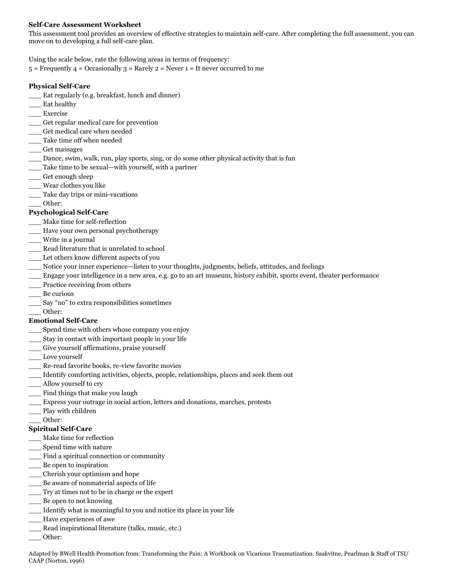### **Self-Care Assessment Worksheet**

This assessment tool provides an overview of effective strategies to maintain self-care. After completing the full assessment, you can move on to developing a full self-care plan.

Using the scale below, rate the following areas in terms of frequency:

 $5$  = Frequently  $4$  = Occasionally  $3$  = Rarely  $2$  = Never  $1$  = It never occurred to me

#### **Physical Self-Care**

- \_\_\_ Eat regularly (e.g. breakfast, lunch and dinner)
- \_\_\_ Eat healthy
- \_\_\_ Exercise
- \_\_\_ Get regular medical care for prevention
- Get medical care when needed
- Take time off when needed
- \_\_\_ Get massages
- \_\_\_ Dance, swim, walk, run, play sports, sing, or do some other physical activity that is fun
- Take time to be sexual—with yourself, with a partner
- \_\_\_ Get enough sleep
- \_\_\_ Wear clothes you like
- \_\_\_ Take day trips or mini-vacations
- \_\_\_ Other:

### **Psychological Self-Care**

- \_\_\_ Make time for self-reflection
- \_\_\_ Have your own personal psychotherapy
- \_\_\_ Write in a journal
- \_\_\_ Read literature that is unrelated to school
- \_\_\_ Let others know different aspects of you
- \_\_\_ Notice your inner experience—listen to your thoughts, judgments, beliefs, attitudes, and feelings
- \_\_\_ Engage your intelligence in a new area, e.g. go to an art museum, history exhibit, sports event, theater performance
- Practice receiving from others
- \_\_\_ Be curious
- \_\_\_ Say "no" to extra responsibilities sometimes
- \_\_\_ Other:

### **Emotional Self-Care**

- \_\_\_ Spend time with others whose company you enjoy
- \_\_\_ Stay in contact with important people in your life
- \_\_\_ Give yourself affirmations, praise yourself
- \_\_\_ Love yourself
- \_\_\_ Re-read favorite books, re-view favorite movies
- \_\_\_ Identify comforting activities, objects, people, relationships, places and seek them out
- \_\_\_ Allow yourself to cry
- \_\_\_ Find things that make you laugh
- \_\_\_ Express your outrage in social action, letters and donations, marches, protests
- \_\_\_ Play with children
- \_\_\_ Other:

## **Spiritual Self-Care**

- \_\_\_ Make time for reflection
- \_\_\_ Spend time with nature
- Find a spiritual connection or community
- \_\_\_ Be open to inspiration
- \_\_\_ Cherish your optimism and hope
- \_\_\_ Be aware of nonmaterial aspects of life
- \_\_\_ Try at times not to be in charge or the expert
- \_\_\_ Be open to not knowing
- \_\_\_ Identify what is meaningful to you and notice its place in your life
- \_\_\_ Have experiences of awe
- Read inspirational literature (talks, music, etc.)
- \_\_\_ Other:

Adapted by BWell Health Promotion from: Transforming the Pain: A Workbook on Vicarious Traumatization. Saakvitne, Pearlman & Staff of TSI/ CAAP (Norton, 1996)